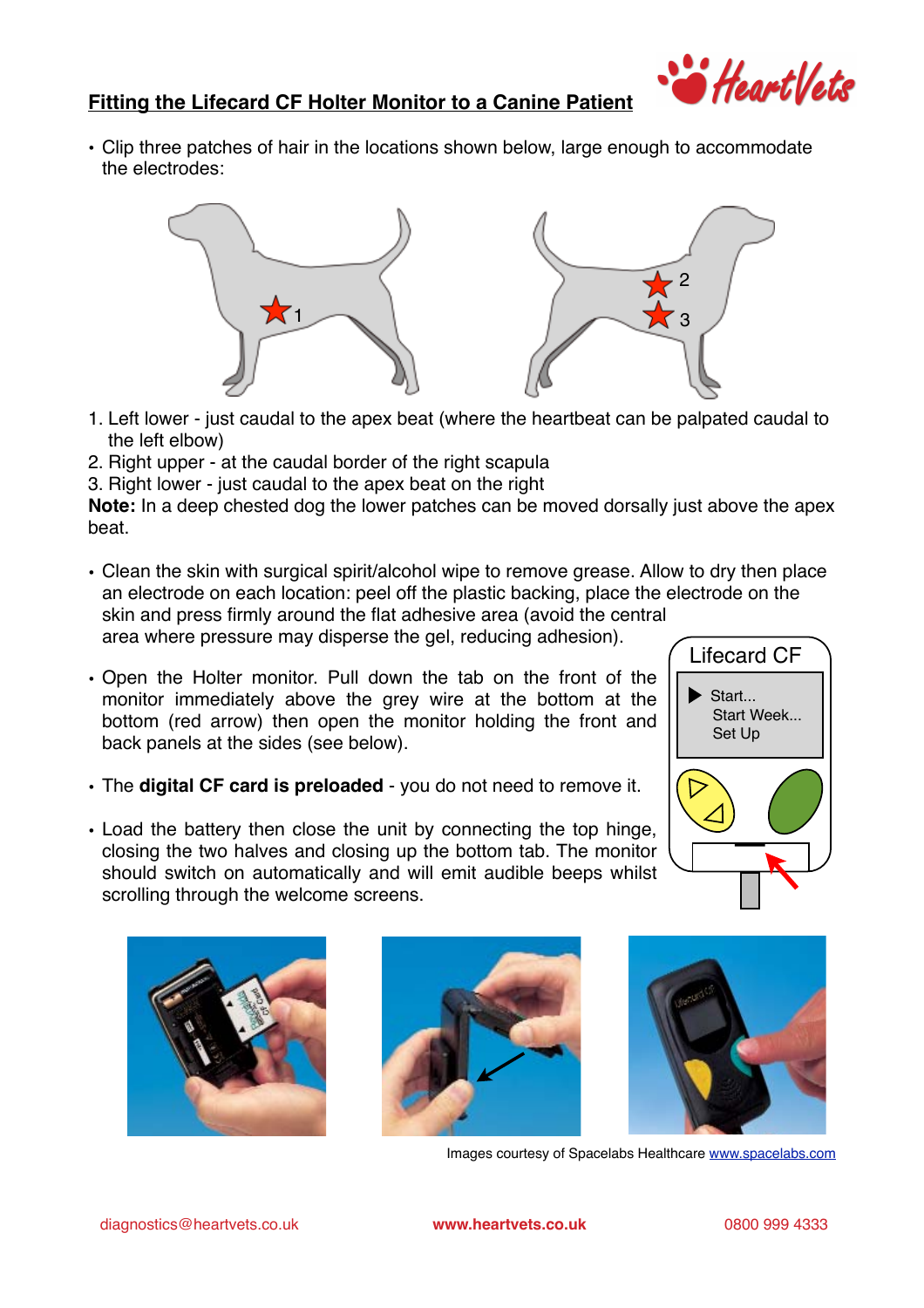

## **Fitting the Lifecard CF Holter Monitor to a Canine Patient**

• Clip three patches of hair in the locations shown below, large enough to accommodate the electrodes: • Clip three patches of hair in the location<br>the electrodes:



- 1. Left lower just caudal to the apex beat (where the heartbeat can be palpated caudal to the left elbow) the left elbow) **Property**<br> **Property** 
	- tne left elbow)<br>2. Right upper at the caudal border of the right scapula *See the instruction manual p.46.*
- 3. Right lower just caudal to the apex beat on the right 3.

**Note:** In a deep chested dog the lower patches can be moved dorsally just above the apex beat. Recording accepts restour and the life-<br>beat. *See the instruction manual p.16-20.*

> • Clean the skin with surgical spirit/alcohol wipe to remove grease. Allow to dry then place an electrode on each location: peel off the plastic backing, place the electrode on the skin and press firmly around the flat adh an electrode on each location: peel off the plastic backing, place the electrode on the skin and press firmly around the flat adhesive area (avoid the central and 'Skin and'<br>'Yea whe

area where pressure may disperse the gel, reducing adhesion).

- $\cdot$  Open the Holter monitor. Pull down the tab on the front of the monitor immediately above the grey wire at the bottom at the bottom (red arrow) then open the monitor holding the front and back panels at the sides (see below).  $\left($  Lifecard CF  $\right)$  *See the instruction manual p.23-25.*
	- The **digital CF card is preloaded** you do not need to remove it.  $\sqrt{\sum_{i=1}^{n}$ 
		- Load the battery then close the unit by connecting the top hinge,  $\bigotimes$ closing the two halves and closing up the bottom tab. The monitor should switch on automatically and will emit audible beeps whilst scrolling through the welcome screens.







**Start** 

 Start Week... Set Up

Images courtesy of Spacelabs Healthcare [www.spacelabs.com](http://www.spacelabs.com)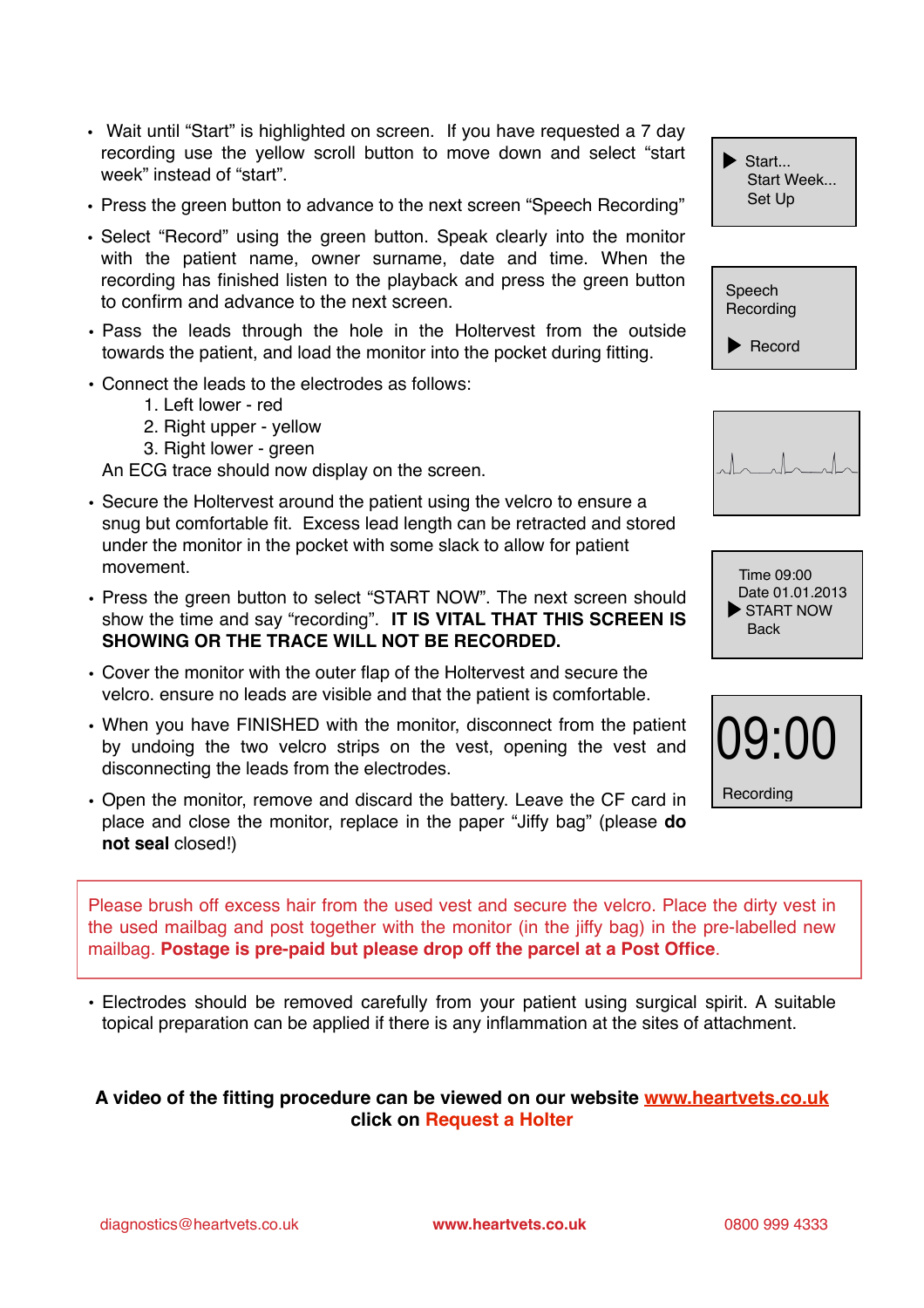- Wait until "Start" is highlighted on screen. If you have requested a 7 day recording use the yellow scroll button to move down and select "start week" instead of "start".
- Press the green button to advance to the next screen "Speech Recording"
- Select "Record" using the green button. Speak clearly into the monitor with the patient name, owner surname, date and time. When the recording has finished listen to the playback and press the green button to confirm and advance to the next screen.
- Pass the leads through the hole in the Holtervest from the outside towards the patient, and load the monitor into the pocket during fitting.
- Connect the leads to the electrodes as follows:
	- 1. Left lower red
	- 2. Right upper yellow
	- 3. Right lower green

An ECG trace should now display on the screen.

- Secure the Holtervest around the patient using the velcro to ensure a snug but comfortable fit. Excess lead length can be retracted and stored under the monitor in the pocket with some slack to allow for patient movement.
- Press the green button to select "START NOW". The next screen should show the time and say "recording". **IT IS VITAL THAT THIS SCREEN IS SHOWING OR THE TRACE WILL NOT BE RECORDED.**
- Cover the monitor with the outer flap of the Holtervest and secure the velcro. ensure no leads are visible and that the patient is comfortable.
- When you have FINISHED with the monitor, disconnect from the patient by undoing the two velcro strips on the vest, opening the vest and disconnecting the leads from the electrodes.
- Open the monitor, remove and discard the battery. Leave the CF card in place and close the monitor, replace in the paper "Jiffy bag" (please **do not seal** closed!)

Start... Start Week... Set Up









Please brush off excess hair from the used vest and secure the velcro. Place the dirty vest in the used mailbag and post together with the monitor (in the jiffy bag) in the pre-labelled new mailbag. **Postage is pre-paid but please drop off the parcel at a Post Office**.

• Electrodes should be removed carefully from your patient using surgical spirit. A suitable topical preparation can be applied if there is any inflammation at the sites of attachment.

## **A video of the fitting procedure can be viewed on our website [www.heartvets.co.uk](http://www.heartvets.co.uk) click on Request a Holter**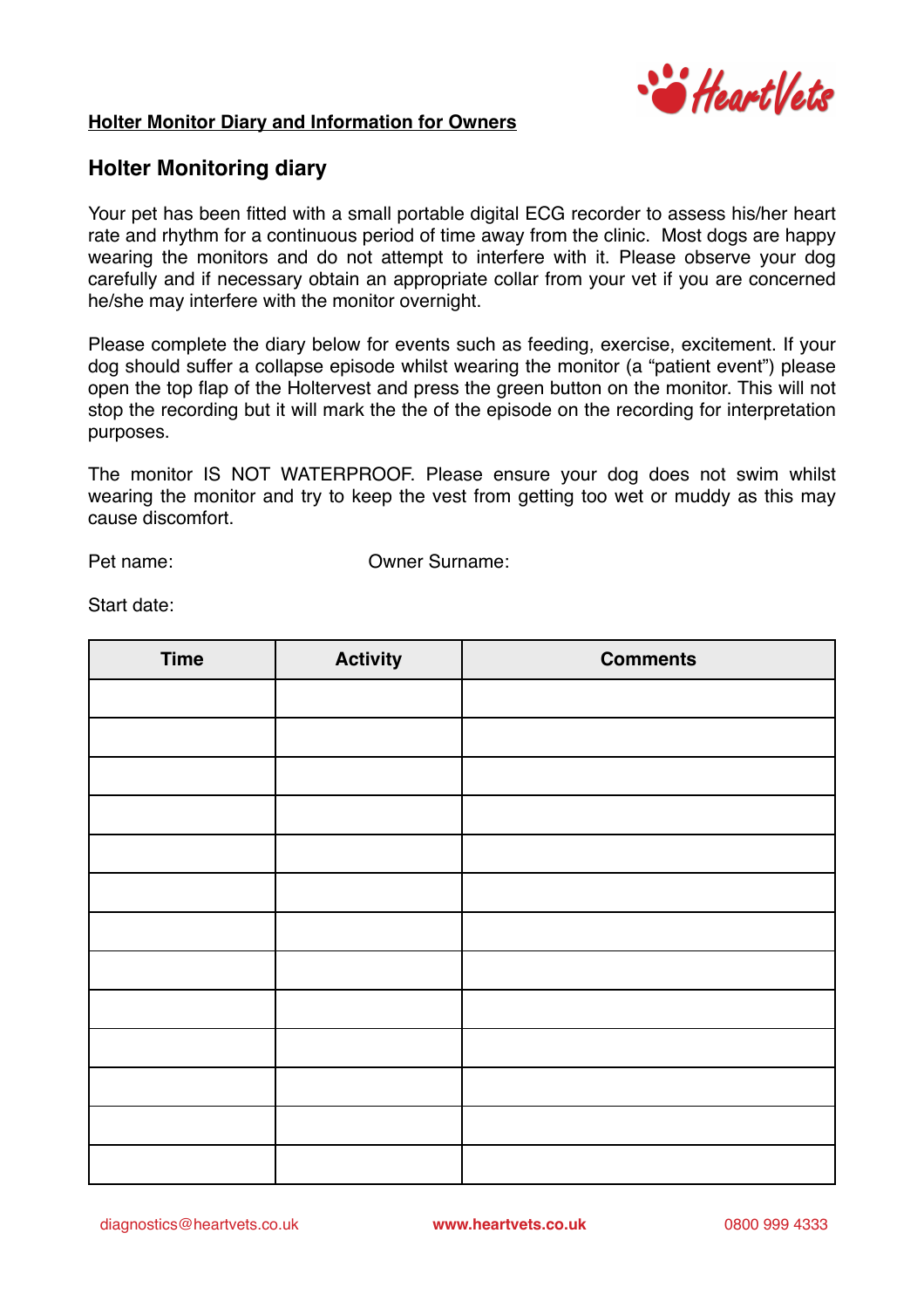

## **Holter Monitor Diary and Information for Owners**

## **Holter Monitoring diary**

Your pet has been fitted with a small portable digital ECG recorder to assess his/her heart rate and rhythm for a continuous period of time away from the clinic. Most dogs are happy wearing the monitors and do not attempt to interfere with it. Please observe your dog carefully and if necessary obtain an appropriate collar from your vet if you are concerned he/she may interfere with the monitor overnight.

Please complete the diary below for events such as feeding, exercise, excitement. If your dog should suffer a collapse episode whilst wearing the monitor (a "patient event") please open the top flap of the Holtervest and press the green button on the monitor. This will not stop the recording but it will mark the the of the episode on the recording for interpretation purposes.

The monitor IS NOT WATERPROOF. Please ensure your dog does not swim whilst wearing the monitor and try to keep the vest from getting too wet or muddy as this may cause discomfort.

Pet name: Owner Surname:

Start date:

| <b>Time</b> | <b>Activity</b> | <b>Comments</b> |
|-------------|-----------------|-----------------|
|             |                 |                 |
|             |                 |                 |
|             |                 |                 |
|             |                 |                 |
|             |                 |                 |
|             |                 |                 |
|             |                 |                 |
|             |                 |                 |
|             |                 |                 |
|             |                 |                 |
|             |                 |                 |
|             |                 |                 |
|             |                 |                 |

diagnostics@heartvets.co.uk **www.heartvets.co.uk** 0800 999 4333